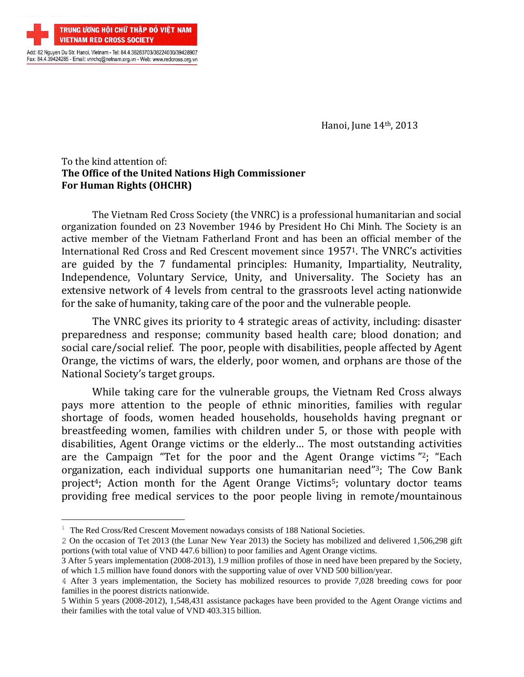

÷.

Hanoi, June 14th, 2013

## To the kind attention of: **The Office of the United Nations High Commissioner For Human Rights (OHCHR)**

The Vietnam Red Cross Society (the VNRC) is a professional humanitarian and social organization founded on 23 November 1946 by President Ho Chi Minh. The Society is an active member of the Vietnam Fatherland Front and has been an official member of the International Red Cross and Red Crescent movement since 19571. The VNRC's activities are guided by the 7 fundamental principles: Humanity, Impartiality, Neutrality, Independence, Voluntary Service, Unity, and Universality. The Society has an extensive network of 4 levels from central to the grassroots level acting nationwide for the sake of humanity, taking care of the poor and the vulnerable people.

The VNRC gives its priority to 4 strategic areas of activity, including: disaster preparedness and response; community based health care; blood donation; and social care/social relief. The poor, people with disabilities, people affected by Agent Orange, the victims of wars, the elderly, poor women, and orphans are those of the National Society's target groups.

While taking care for the vulnerable groups, the Vietnam Red Cross always pays more attention to the people of ethnic minorities, families with regular shortage of foods, women headed households, households having pregnant or breastfeeding women, families with children under 5, or those with people with disabilities, Agent Orange victims or the elderly… The most outstanding activities are the Campaign "Tet for the poor and the Agent Orange victims " <sup>2</sup>; "Each organization, each individual supports one humanitarian need" <sup>3</sup>; The Cow Bank project<sup>4</sup>; Action month for the Agent Orange Victims<sup>5</sup>; voluntary doctor teams providing free medical services to the poor people living in remote/mountainous

<sup>&</sup>lt;sup>1</sup> The Red Cross/Red Crescent Movement nowadays consists of 188 National Societies.

<sup>2</sup> On the occasion of Tet 2013 (the Lunar New Year 2013) the Society has mobilized and delivered 1,506,298 gift portions (with total value of VND 447.6 billion) to poor families and Agent Orange victims.

<sup>3</sup> After 5 years implementation (2008-2013), 1.9 million profiles of those in need have been prepared by the Society, of which 1.5 million have found donors with the supporting value of over VND 500 billion/year.

<sup>4</sup> After 3 years implementation, the Society has mobilized resources to provide 7,028 breeding cows for poor families in the poorest districts nationwide.

<sup>5</sup> Within 5 years (2008-2012), 1,548,431 assistance packages have been provided to the Agent Orange victims and their families with the total value of VND 403.315 billion.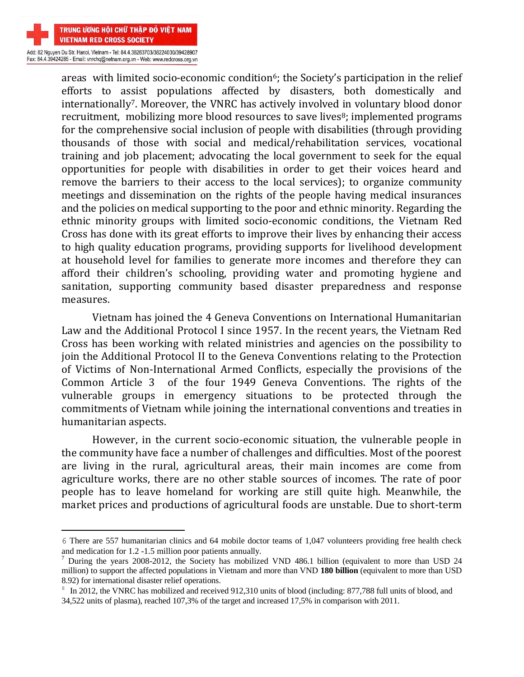

÷.

Fax: 84.4.39424285 - Email: vnrchq@netnam.org.vn - Web: www.redcross.org.vn

areas with limited socio-economic condition<sup>6</sup>; the Society's participation in the relief efforts to assist populations affected by disasters, both domestically and internationally7. Moreover, the VNRC has actively involved in voluntary blood donor recruitment, mobilizing more blood resources to save lives<sup>8</sup>; implemented programs for the comprehensive social inclusion of people with disabilities (through providing thousands of those with social and medical/rehabilitation services, vocational training and job placement; advocating the local government to seek for the equal opportunities for people with disabilities in order to get their voices heard and remove the barriers to their access to the local services); to organize community meetings and dissemination on the rights of the people having medical insurances and the policies on medical supporting to the poor and ethnic minority. Regarding the ethnic minority groups with limited socio-economic conditions, the Vietnam Red Cross has done with its great efforts to improve their lives by enhancing their access to high quality education programs, providing supports for livelihood development at household level for families to generate more incomes and therefore they can afford their children's schooling, providing water and promoting hygiene and sanitation, supporting community based disaster preparedness and response measures.

Vietnam has joined the 4 Geneva Conventions on International Humanitarian Law and the Additional Protocol I since 1957. In the recent years, the Vietnam Red Cross has been working with related ministries and agencies on the possibility to join the Additional Protocol II to the Geneva Conventions relating to the Protection of Victims of Non-International Armed Conflicts, especially the provisions of the Common Article 3 of the four 1949 Geneva Conventions. The rights of the vulnerable groups in emergency situations to be protected through the commitments of Vietnam while joining the international conventions and treaties in humanitarian aspects.

However, in the current socio-economic situation, the vulnerable people in the community have face a number of challenges and difficulties. Most of the poorest are living in the rural, agricultural areas, their main incomes are come from agriculture works, there are no other stable sources of incomes. The rate of poor people has to leave homeland for working are still quite high. Meanwhile, the market prices and productions of agricultural foods are unstable. Due to short-term

<sup>6</sup> There are 557 humanitarian clinics and 64 mobile doctor teams of 1,047 volunteers providing free health check and medication for 1.2 -1.5 million poor patients annually.

<sup>&</sup>lt;sup>7</sup> During the years 2008-2012, the Society has mobilized VND 486.1 billion (equivalent to more than USD 24 million) to support the affected populations in Vietnam and more than VND **180 billion** (equivalent to more than USD 8.92) for international disaster relief operations.

<sup>&</sup>lt;sup>8</sup> In 2012, the VNRC has mobilized and received 912,310 units of blood (including: 877,788 full units of blood, and 34,522 units of plasma), reached 107,3% of the target and increased 17,5% in comparison with 2011.